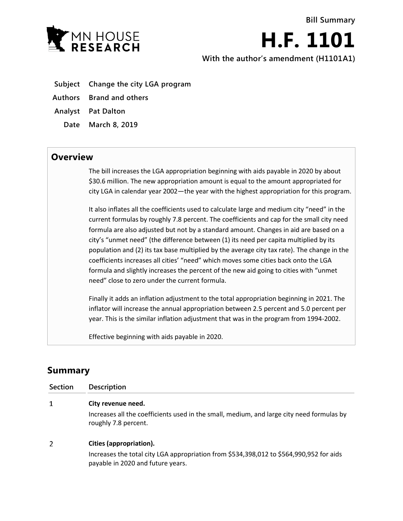

**H.F. 1101 With the author's amendment (H1101A1)**

- **Subject Change the city LGA program**
- **Authors Brand and others**
- **Analyst Pat Dalton**
	- **Date March 8, 2019**

## **Overview**

The bill increases the LGA appropriation beginning with aids payable in 2020 by about \$30.6 million. The new appropriation amount is equal to the amount appropriated for city LGA in calendar year 2002—the year with the highest appropriation for this program.

It also inflates all the coefficients used to calculate large and medium city "need" in the current formulas by roughly 7.8 percent. The coefficients and cap for the small city need formula are also adjusted but not by a standard amount. Changes in aid are based on a city's "unmet need" (the difference between (1) its need per capita multiplied by its population and (2) its tax base multiplied by the average city tax rate). The change in the coefficients increases all cities' "need" which moves some cities back onto the LGA formula and slightly increases the percent of the new aid going to cities with "unmet need" close to zero under the current formula.

Finally it adds an inflation adjustment to the total appropriation beginning in 2021. The inflator will increase the annual appropriation between 2.5 percent and 5.0 percent per year. This is the similar inflation adjustment that was in the program from 1994-2002.

Effective beginning with aids payable in 2020.

## **Summary**

| <b>Section</b> | <b>Description</b>                                                                                                           |
|----------------|------------------------------------------------------------------------------------------------------------------------------|
|                | City revenue need.                                                                                                           |
|                | Increases all the coefficients used in the small, medium, and large city need formulas by<br>roughly 7.8 percent.            |
| 2              | Cities (appropriation).                                                                                                      |
|                | Increases the total city LGA appropriation from \$534,398,012 to \$564,990,952 for aids<br>payable in 2020 and future years. |